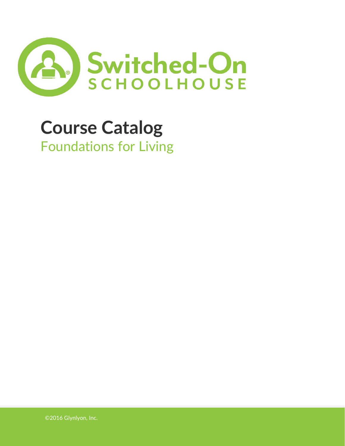

# **Course Catalog** Foundations for Living

©2016 Glynlyon, Inc.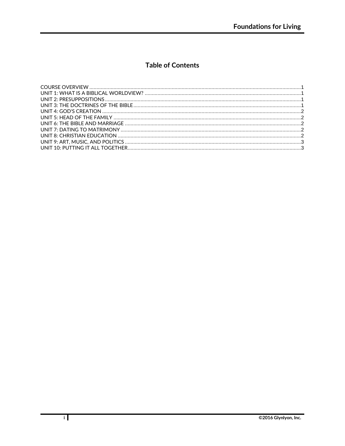# **Table of Contents**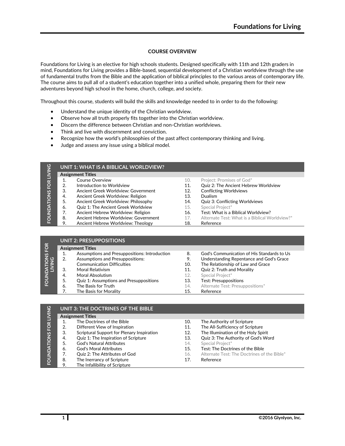#### **COURSE OVERVIEW**

<span id="page-2-0"></span>Foundations for Living is an elective for high schools students. Designed specifically with 11th and 12th graders in mind, Foundations for Living provides a Bible-based, sequential development of a Christian worldview through the use of fundamental truths from the Bible and the application of biblical principles to the various areas of contemporary life. The course aims to pull all of a student's education together into a unified whole, preparing them for their new adventures beyond high school in the home, church, college, and society.

Throughout this course, students will build the skills and knowledge needed to in order to do the following:

- Understand the unique identity of the Christian worldview.
- Observe how all truth properly fits together into the Christian worldview.
- Discern the difference between Christian and non-Christian worldviews.
- Think and live with discernment and conviction.
- Recognize how the world's philosophies of the past affect contemporary thinking and living.
- Judge and assess any issue using a biblical model.

<span id="page-2-1"></span>

| $\frac{c}{2}$      | UNIT 1: WHAT IS A BIBLICAL WORLDVIEW? |                                      |     |                                                |  |  |  |  |
|--------------------|---------------------------------------|--------------------------------------|-----|------------------------------------------------|--|--|--|--|
|                    |                                       | <b>Assignment Titles</b>             |     |                                                |  |  |  |  |
|                    |                                       | Course Overview                      | 10. | Project: Promises of God*                      |  |  |  |  |
| FOR I              | 2.                                    | Introduction to Worldview            | 11. | Quiz 2: The Ancient Hebrew Worldview           |  |  |  |  |
|                    | 3.                                    | Ancient Greek Worldview: Government  | 12. | <b>Conflicting Worldviews</b>                  |  |  |  |  |
|                    | 4.                                    | Ancient Greek Worldview: Religion    | 13. | <b>Dualism</b>                                 |  |  |  |  |
|                    | 5.                                    | Ancient Greek Worldview: Philosophy  | 14. | <b>Quiz 3: Conflicting Worldviews</b>          |  |  |  |  |
| <b>FOUNDATIONS</b> | 6.                                    | Quiz 1: The Ancient Greek Worldview  | 15. | Special Project*                               |  |  |  |  |
|                    | 7.                                    | Ancient Hebrew Worldview: Religion   | 16. | Test: What is a Biblical Worldview?            |  |  |  |  |
|                    | -8.                                   | Ancient Hebrew Worldview: Government | 17. | Alternate Test: What is a Biblical Worldview?* |  |  |  |  |
|                    | 9.                                    | Ancient Hebrew Worldview: Theology   | 18. | Reference                                      |  |  |  |  |

<span id="page-2-2"></span>

| NS FOR | <b>UNIT 2: PRESUPPOSITIONS</b> |                                                |     |                                            |  |  |  |
|--------|--------------------------------|------------------------------------------------|-----|--------------------------------------------|--|--|--|
|        |                                | <b>Assignment Titles</b>                       |     |                                            |  |  |  |
|        |                                | Assumptions and Presuppositions: Introduction  | 8.  | God's Communication of His Standards to Us |  |  |  |
| 60     |                                | <b>Assumptions and Presuppositions:</b>        | 9.  | Understanding Repentance and God's Grace   |  |  |  |
|        |                                | <b>Communication Difficulties</b>              | 10. | The Relationship of Law and Grace          |  |  |  |
|        | 3.                             | Moral Relativism                               | 11. | Quiz 2: Truth and Morality                 |  |  |  |
| FOUND/ | 4.                             | Moral Absolutism                               | 12. | Special Project*                           |  |  |  |
|        | 5.                             | <b>Quiz 1: Assumptions and Presuppositions</b> | 13. | <b>Test: Presuppositions</b>               |  |  |  |
|        | 6.                             | The Basis for Truth                            | 14. | Alternate Test: Presuppositions*           |  |  |  |
|        |                                | The Basis for Morality                         | 15. | Reference                                  |  |  |  |

<span id="page-2-3"></span>

| <b>LIVING</b> |    | UNIT 3: THE DOCTRINES OF THE BIBLE         |     |                                             |
|---------------|----|--------------------------------------------|-----|---------------------------------------------|
|               |    | <b>Assignment Titles</b>                   |     |                                             |
|               |    | The Doctrines of the Bible                 | 10. | The Authority of Scripture                  |
| FOR           | 2. | Different View of Inspiration              | 11. | The All-Sufficiency of Scripture            |
|               | 3. | Scriptural Support for Plenary Inspiration | 12. | The Illumination of the Holy Spirit         |
|               | 4. | Quiz 1: The Inspiration of Scripture       | 13. | Quiz 3: The Authority of God's Word         |
| FOUNDATIONS   | 5. | <b>God's Natural Attributes</b>            | 14. | Special Project*                            |
|               | 6. | God's Moral Attributes                     | 15. | Test: The Doctrines of the Bible            |
|               | 7. | Quiz 2: The Attributes of God              | 16. | Alternate Test: The Doctrines of the Bible* |
|               | 8. | The Inerrancy of Scripture                 | 17. | Reference                                   |
|               | 9. | The Infallibility of Scripture             |     |                                             |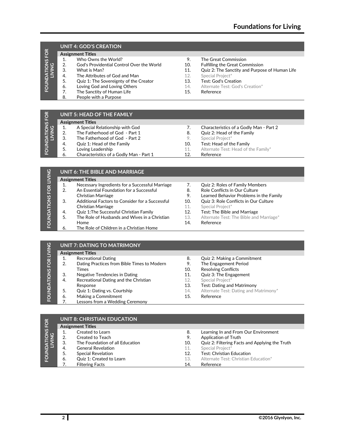## <span id="page-3-0"></span>**UNIT 4: GOD'S CREATION**

| FOUNDATIONS FOR<br>LIVING |     | <b>Assignment Titles</b>                  |     |                                                |  |  |
|---------------------------|-----|-------------------------------------------|-----|------------------------------------------------|--|--|
|                           |     | Who Owns the World?                       | 9.  | The Great Commission                           |  |  |
|                           | 2.  | God's Providential Control Over the World | 10. | <b>Fulfilling the Great Commission</b>         |  |  |
|                           | З.  | What is Man?                              | 11. | Quiz 2: The Sanctity and Purpose of Human Life |  |  |
|                           | -4. | The Attributes of God and Man             | 12. | Special Project*                               |  |  |
|                           | 5.  | Quiz 1: The Sovereignty of the Creator    | 13. | Test: God's Creation                           |  |  |
|                           | 6.  | Loving God and Loving Others              | 14. | Alternate Test: God's Creation*                |  |  |
|                           |     | The Sanctity of Human Life                | 15. | Reference                                      |  |  |
|                           | 8.  | People with a Purpose                     |     |                                                |  |  |
|                           |     |                                           |     |                                                |  |  |

## <span id="page-3-1"></span>IS FOR **UNIT 5: HEAD OF THE FAMILY Assignment Titles**

| FOR               | UNIT 5: HEAD OF THE FAMILY |                                         |     |                                         |  |  |  |
|-------------------|----------------------------|-----------------------------------------|-----|-----------------------------------------|--|--|--|
| DATIONS<br>LIVING |                            | <b>Assignment Titles</b>                |     |                                         |  |  |  |
|                   |                            | A Special Relationship with God         |     | Characteristics of a Godly Man - Part 2 |  |  |  |
|                   | 2.                         | The Fatherhood of God - Part 1          | 8.  | Quiz 2: Head of the Family              |  |  |  |
| IE.<br>∣ ō        | 3.                         | The Fatherhood of God - Part 2          | 9.  | Special Project*                        |  |  |  |
|                   | -4.                        | Quiz 1: Head of the Family              | 10. | Test: Head of the Family                |  |  |  |
|                   | 5.                         | Loving Leadership                       | 11. | Alternate Test: Head of the Family*     |  |  |  |
|                   | 6.                         | Characteristics of a Godly Man - Part 1 | 12. | Reference                               |  |  |  |

<span id="page-3-2"></span>

| <b>LIVING</b> |    | UNIT 6: THE BIBLE AND MARRIAGE                  |     |                                         |
|---------------|----|-------------------------------------------------|-----|-----------------------------------------|
|               |    | <b>Assignment Titles</b>                        |     |                                         |
|               |    | Necessary Ingredients for a Successful Marriage | 7.  | <b>Quiz 2: Roles of Family Members</b>  |
| <b>FOR</b>    | 2. | An Essential Foundation for a Successful        | 8.  | Role Conflicts in Our Culture           |
|               |    | Christian Marriage                              | 9.  | Learned Behavior Problems in the Family |
|               | 3. | Additional Factors to Consider for a Successful | 10. | Quiz 3: Role Conflicts in Our Culture   |
|               |    | Christian Marriage                              | 11. | Special Project*                        |
| FOUNDATIONS   | 4. | Quiz 1: The Successful Christian Family         | 12. | Test: The Bible and Marriage            |
|               | 5. | The Role of Husbands and Wives in a Christian   | 13. | Alternate Test: The Bible and Marriage* |
|               |    | Home                                            | 14. | Reference                               |
|               | 6. | The Role of Children in a Christian Home        |     |                                         |

<span id="page-3-3"></span>

| FOUNDATIONS FOR LIVING |    | <b>Assignment Titles</b>                    |     |                                       |
|------------------------|----|---------------------------------------------|-----|---------------------------------------|
|                        |    | <b>Recreational Dating</b>                  | 8.  | Quiz 2: Making a Commitment           |
|                        | 2. | Dating Practices from Bible Times to Modern | 9.  | The Engagement Period                 |
|                        |    | Times                                       | 10. | <b>Resolving Conflicts</b>            |
|                        | 3. | Negative Tendencies in Dating               | 11. | Quiz 3: The Engagement                |
|                        | 4. | Recreational Dating and the Christian       | 12. | Special Project*                      |
|                        |    | Response                                    | 13. | <b>Test: Dating and Matrimony</b>     |
|                        | 5. | Quiz 1: Dating vs. Courtship                | 14. | Alternate Test: Dating and Matrimony* |
|                        | 6. | Making a Commitment                         | 15. | Reference                             |
|                        |    | Lessons from a Wedding Ceremony             |     |                                       |

<span id="page-3-4"></span>

| TONS FOR<br>ING | <b>UNIT 8: CHRISTIAN EDUCATION</b> |                                 |     |                                                |  |  |  |
|-----------------|------------------------------------|---------------------------------|-----|------------------------------------------------|--|--|--|
|                 |                                    | <b>Assignment Titles</b>        |     |                                                |  |  |  |
|                 |                                    | Created to Learn                | 8.  | Learning In and From Our Environment           |  |  |  |
|                 | 2.                                 | Created to Teach                | 9.  | <b>Application of Truth</b>                    |  |  |  |
|                 | 3.                                 | The Foundation of all Education | 10. | Quiz 2: Filtering Facts and Applying the Truth |  |  |  |
|                 | 4.                                 | <b>General Revelation</b>       | 11. | Special Project*                               |  |  |  |
| <b>FOUNDA</b>   | 5.                                 | <b>Special Revelation</b>       | 12. | Test: Christian Education                      |  |  |  |
|                 | 6.                                 | Quiz 1: Created to Learn        | 13. | Alternate Test: Christian Education*           |  |  |  |
|                 |                                    | <b>Filtering Facts</b>          | 14. | Reference                                      |  |  |  |